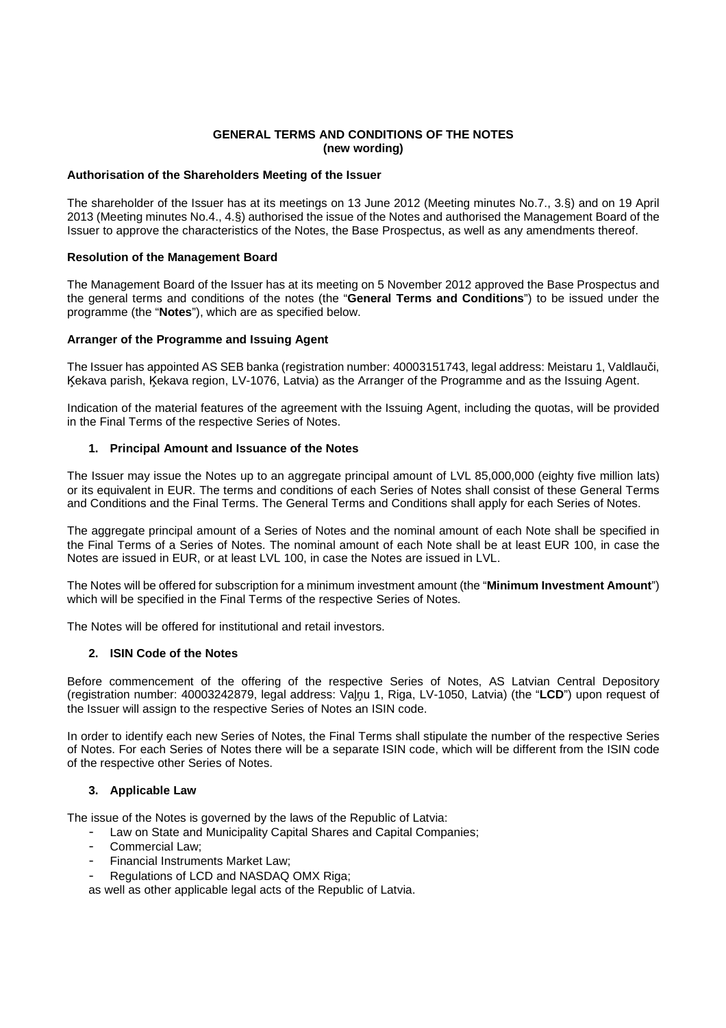## **GENERAL TERMS AND CONDITIONS OF THE NOTES (new wording)**

### **Authorisation of the Shareholders Meeting of the Issuer**

The shareholder of the Issuer has at its meetings on 13 June 2012 (Meeting minutes No.7., 3.§) and on 19 April 2013 (Meeting minutes No.4., 4.§) authorised the issue of the Notes and authorised the Management Board of the Issuer to approve the characteristics of the Notes, the Base Prospectus, as well as any amendments thereof.

### **Resolution of the Management Board**

The Management Board of the Issuer has at its meeting on 5 November 2012 approved the Base Prospectus and the general terms and conditions of the notes (the "**General Terms and Conditions**") to be issued under the programme (the "**Notes**"), which are as specified below.

### **Arranger of the Programme and Issuing Agent**

The Issuer has appointed AS SEB banka (registration number: 40003151743, legal address: Meistaru 1, Valdlauči, Ķekava parish, Ķekava region, LV-1076, Latvia) as the Arranger of the Programme and as the Issuing Agent.

Indication of the material features of the agreement with the Issuing Agent, including the quotas, will be provided in the Final Terms of the respective Series of Notes.

### **1. Principal Amount and Issuance of the Notes**

The Issuer may issue the Notes up to an aggregate principal amount of LVL 85,000,000 (eighty five million lats) or its equivalent in EUR. The terms and conditions of each Series of Notes shall consist of these General Terms and Conditions and the Final Terms. The General Terms and Conditions shall apply for each Series of Notes.

The aggregate principal amount of a Series of Notes and the nominal amount of each Note shall be specified in the Final Terms of a Series of Notes. The nominal amount of each Note shall be at least EUR 100, in case the Notes are issued in EUR, or at least LVL 100, in case the Notes are issued in LVL.

The Notes will be offered for subscription for a minimum investment amount (the "**Minimum Investment Amount**") which will be specified in the Final Terms of the respective Series of Notes.

The Notes will be offered for institutional and retail investors.

## **2. ISIN Code of the Notes**

Before commencement of the offering of the respective Series of Notes, AS Latvian Central Depository (registration number: 40003242879, legal address: Vaļņu 1, Riga, LV-1050, Latvia) (the "**LCD**") upon request of the Issuer will assign to the respective Series of Notes an ISIN code.

In order to identify each new Series of Notes, the Final Terms shall stipulate the number of the respective Series of Notes. For each Series of Notes there will be a separate ISIN code, which will be different from the ISIN code of the respective other Series of Notes.

## **3. Applicable Law**

The issue of the Notes is governed by the laws of the Republic of Latvia:

- Law on State and Municipality Capital Shares and Capital Companies;
- Commercial Law;
- Financial Instruments Market Law;
- Regulations of LCD and NASDAQ OMX Riga:

as well as other applicable legal acts of the Republic of Latvia.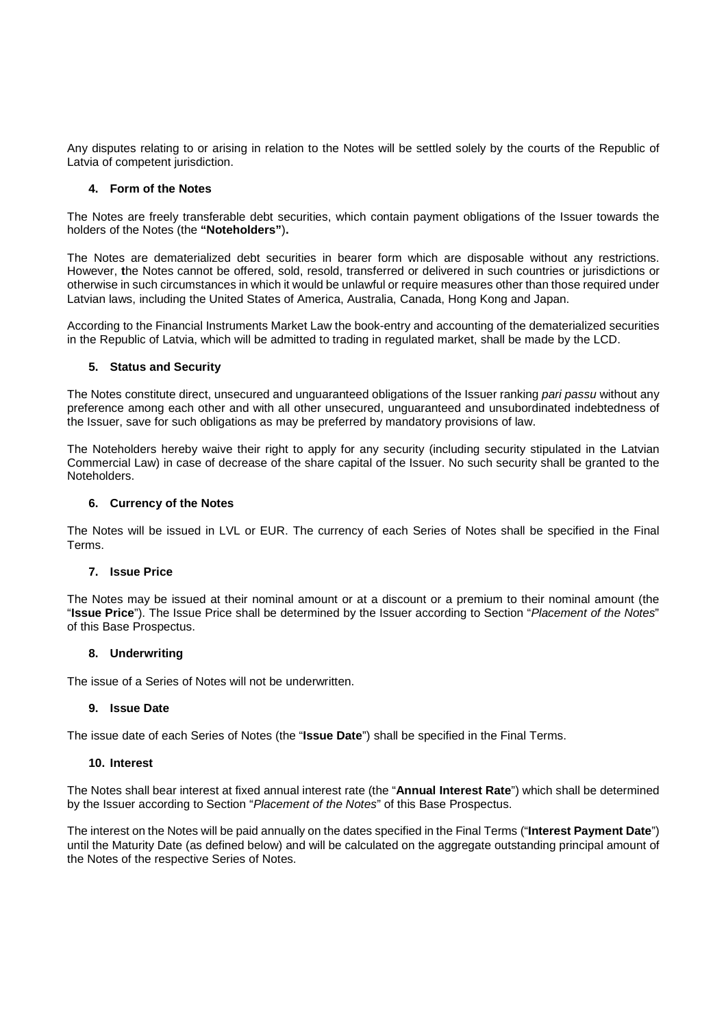Any disputes relating to or arising in relation to the Notes will be settled solely by the courts of the Republic of Latvia of competent jurisdiction.

### **4. Form of the Notes**

The Notes are freely transferable debt securities, which contain payment obligations of the Issuer towards the holders of the Notes (the **"Noteholders"**)**.** 

The Notes are dematerialized debt securities in bearer form which are disposable without any restrictions. However, **t**he Notes cannot be offered, sold, resold, transferred or delivered in such countries or jurisdictions or otherwise in such circumstances in which it would be unlawful or require measures other than those required under Latvian laws, including the United States of America, Australia, Canada, Hong Kong and Japan.

According to the Financial Instruments Market Law the book-entry and accounting of the dematerialized securities in the Republic of Latvia, which will be admitted to trading in regulated market, shall be made by the LCD.

## **5. Status and Security**

The Notes constitute direct, unsecured and unguaranteed obligations of the Issuer ranking pari passu without any preference among each other and with all other unsecured, unguaranteed and unsubordinated indebtedness of the Issuer, save for such obligations as may be preferred by mandatory provisions of law.

The Noteholders hereby waive their right to apply for any security (including security stipulated in the Latvian Commercial Law) in case of decrease of the share capital of the Issuer. No such security shall be granted to the Noteholders.

## **6. Currency of the Notes**

The Notes will be issued in LVL or EUR. The currency of each Series of Notes shall be specified in the Final Terms.

## **7. Issue Price**

The Notes may be issued at their nominal amount or at a discount or a premium to their nominal amount (the "**Issue Price**"). The Issue Price shall be determined by the Issuer according to Section "Placement of the Notes" of this Base Prospectus.

## **8. Underwriting**

The issue of a Series of Notes will not be underwritten.

## **9. Issue Date**

The issue date of each Series of Notes (the "**Issue Date**") shall be specified in the Final Terms.

## **10. Interest**

The Notes shall bear interest at fixed annual interest rate (the "**Annual Interest Rate**") which shall be determined by the Issuer according to Section "Placement of the Notes" of this Base Prospectus.

The interest on the Notes will be paid annually on the dates specified in the Final Terms ("**Interest Payment Date**") until the Maturity Date (as defined below) and will be calculated on the aggregate outstanding principal amount of the Notes of the respective Series of Notes.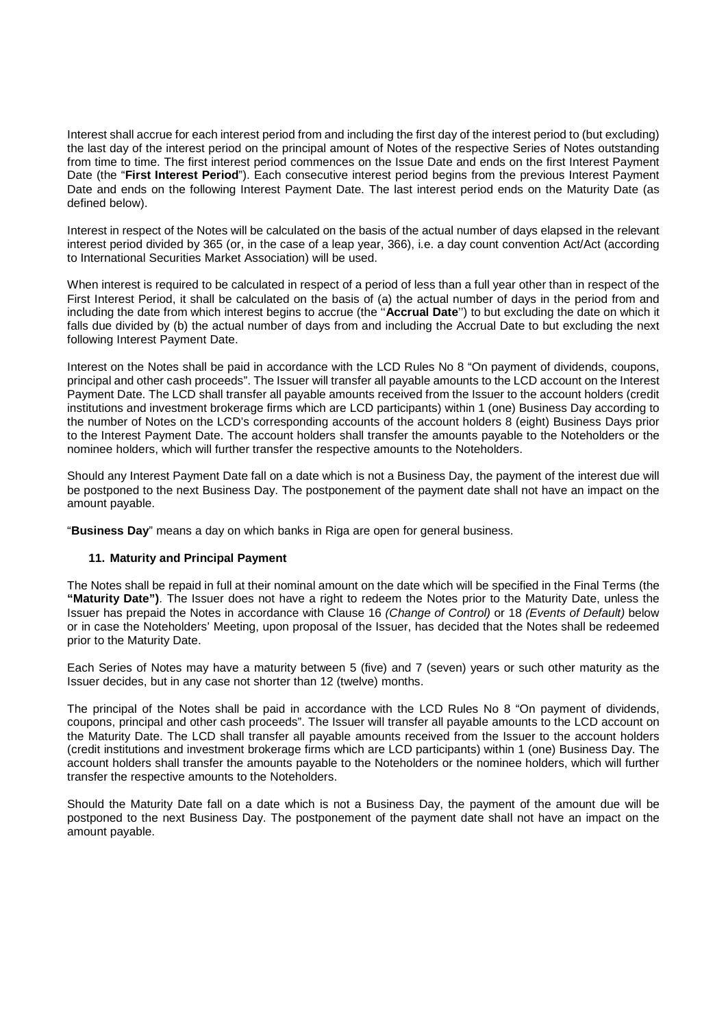Interest shall accrue for each interest period from and including the first day of the interest period to (but excluding) the last day of the interest period on the principal amount of Notes of the respective Series of Notes outstanding from time to time. The first interest period commences on the Issue Date and ends on the first Interest Payment Date (the "**First Interest Period**"). Each consecutive interest period begins from the previous Interest Payment Date and ends on the following Interest Payment Date. The last interest period ends on the Maturity Date (as defined below).

Interest in respect of the Notes will be calculated on the basis of the actual number of days elapsed in the relevant interest period divided by 365 (or, in the case of a leap year, 366), i.e. a day count convention Act/Act (according to International Securities Market Association) will be used.

When interest is required to be calculated in respect of a period of less than a full year other than in respect of the First Interest Period, it shall be calculated on the basis of (a) the actual number of days in the period from and including the date from which interest begins to accrue (the ''**Accrual Date**'') to but excluding the date on which it falls due divided by (b) the actual number of days from and including the Accrual Date to but excluding the next following Interest Payment Date.

Interest on the Notes shall be paid in accordance with the LCD Rules No 8 "On payment of dividends, coupons, principal and other cash proceeds". The Issuer will transfer all payable amounts to the LCD account on the Interest Payment Date. The LCD shall transfer all payable amounts received from the Issuer to the account holders (credit institutions and investment brokerage firms which are LCD participants) within 1 (one) Business Day according to the number of Notes on the LCD's corresponding accounts of the account holders 8 (eight) Business Days prior to the Interest Payment Date. The account holders shall transfer the amounts payable to the Noteholders or the nominee holders, which will further transfer the respective amounts to the Noteholders.

Should any Interest Payment Date fall on a date which is not a Business Day, the payment of the interest due will be postponed to the next Business Day. The postponement of the payment date shall not have an impact on the amount payable.

"**Business Day**" means a day on which banks in Riga are open for general business.

# **11. Maturity and Principal Payment**

The Notes shall be repaid in full at their nominal amount on the date which will be specified in the Final Terms (the **"Maturity Date")**. The Issuer does not have a right to redeem the Notes prior to the Maturity Date, unless the Issuer has prepaid the Notes in accordance with Clause 16 (Change of Control) or 18 (Events of Default) below or in case the Noteholders' Meeting, upon proposal of the Issuer, has decided that the Notes shall be redeemed prior to the Maturity Date.

Each Series of Notes may have a maturity between 5 (five) and 7 (seven) years or such other maturity as the Issuer decides, but in any case not shorter than 12 (twelve) months.

The principal of the Notes shall be paid in accordance with the LCD Rules No 8 "On payment of dividends, coupons, principal and other cash proceeds". The Issuer will transfer all payable amounts to the LCD account on the Maturity Date. The LCD shall transfer all payable amounts received from the Issuer to the account holders (credit institutions and investment brokerage firms which are LCD participants) within 1 (one) Business Day. The account holders shall transfer the amounts payable to the Noteholders or the nominee holders, which will further transfer the respective amounts to the Noteholders.

Should the Maturity Date fall on a date which is not a Business Day, the payment of the amount due will be postponed to the next Business Day. The postponement of the payment date shall not have an impact on the amount payable.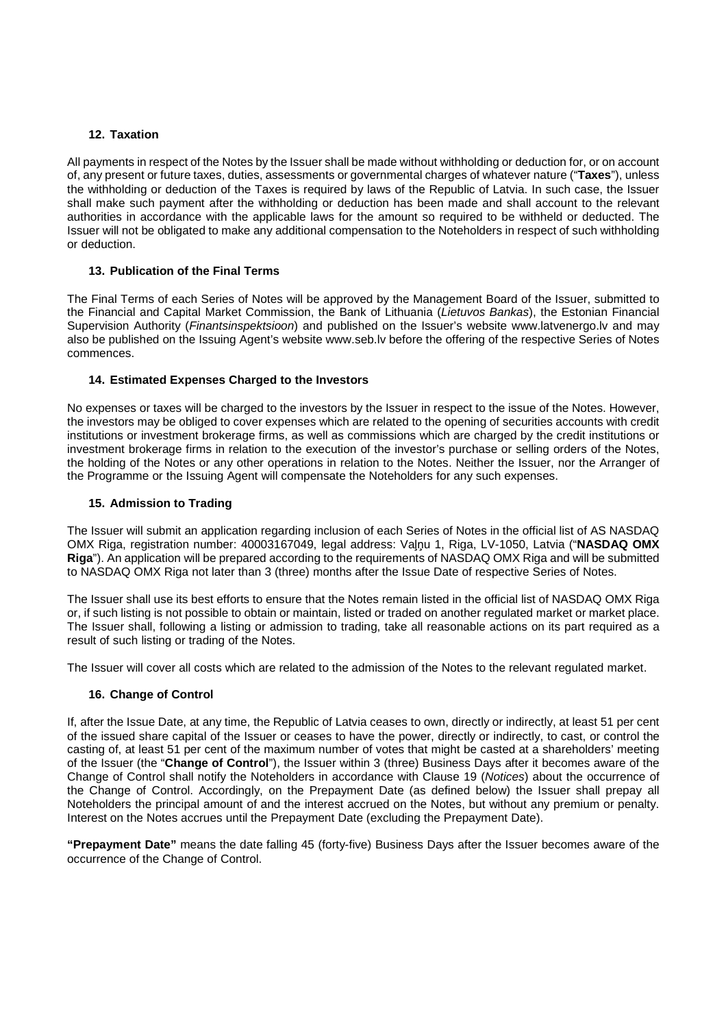## **12. Taxation**

All payments in respect of the Notes by the Issuer shall be made without withholding or deduction for, or on account of, any present or future taxes, duties, assessments or governmental charges of whatever nature ("**Taxes**"), unless the withholding or deduction of the Taxes is required by laws of the Republic of Latvia. In such case, the Issuer shall make such payment after the withholding or deduction has been made and shall account to the relevant authorities in accordance with the applicable laws for the amount so required to be withheld or deducted. The Issuer will not be obligated to make any additional compensation to the Noteholders in respect of such withholding or deduction.

# **13. Publication of the Final Terms**

The Final Terms of each Series of Notes will be approved by the Management Board of the Issuer, submitted to the Financial and Capital Market Commission, the Bank of Lithuania (Lietuvos Bankas), the Estonian Financial Supervision Authority (Finantsinspektsioon) and published on the Issuer's website www.latvenergo.lv and may also be published on the Issuing Agent's website www.seb.lv before the offering of the respective Series of Notes commences.

# **14. Estimated Expenses Charged to the Investors**

No expenses or taxes will be charged to the investors by the Issuer in respect to the issue of the Notes. However, the investors may be obliged to cover expenses which are related to the opening of securities accounts with credit institutions or investment brokerage firms, as well as commissions which are charged by the credit institutions or investment brokerage firms in relation to the execution of the investor's purchase or selling orders of the Notes, the holding of the Notes or any other operations in relation to the Notes. Neither the Issuer, nor the Arranger of the Programme or the Issuing Agent will compensate the Noteholders for any such expenses.

## **15. Admission to Trading**

The Issuer will submit an application regarding inclusion of each Series of Notes in the official list of AS NASDAQ OMX Riga, registration number: 40003167049, legal address: Vaļņu 1, Riga, LV-1050, Latvia ("**NASDAQ OMX Riga**"). An application will be prepared according to the requirements of NASDAQ OMX Riga and will be submitted to NASDAQ OMX Riga not later than 3 (three) months after the Issue Date of respective Series of Notes.

The Issuer shall use its best efforts to ensure that the Notes remain listed in the official list of NASDAQ OMX Riga or, if such listing is not possible to obtain or maintain, listed or traded on another regulated market or market place. The Issuer shall, following a listing or admission to trading, take all reasonable actions on its part required as a result of such listing or trading of the Notes.

The Issuer will cover all costs which are related to the admission of the Notes to the relevant regulated market.

## **16. Change of Control**

If, after the Issue Date, at any time, the Republic of Latvia ceases to own, directly or indirectly, at least 51 per cent of the issued share capital of the Issuer or ceases to have the power, directly or indirectly, to cast, or control the casting of, at least 51 per cent of the maximum number of votes that might be casted at a shareholders' meeting of the Issuer (the "**Change of Control**"), the Issuer within 3 (three) Business Days after it becomes aware of the Change of Control shall notify the Noteholders in accordance with Clause 19 (Notices) about the occurrence of the Change of Control. Accordingly, on the Prepayment Date (as defined below) the Issuer shall prepay all Noteholders the principal amount of and the interest accrued on the Notes, but without any premium or penalty. Interest on the Notes accrues until the Prepayment Date (excluding the Prepayment Date).

**"Prepayment Date"** means the date falling 45 (forty-five) Business Days after the Issuer becomes aware of the occurrence of the Change of Control.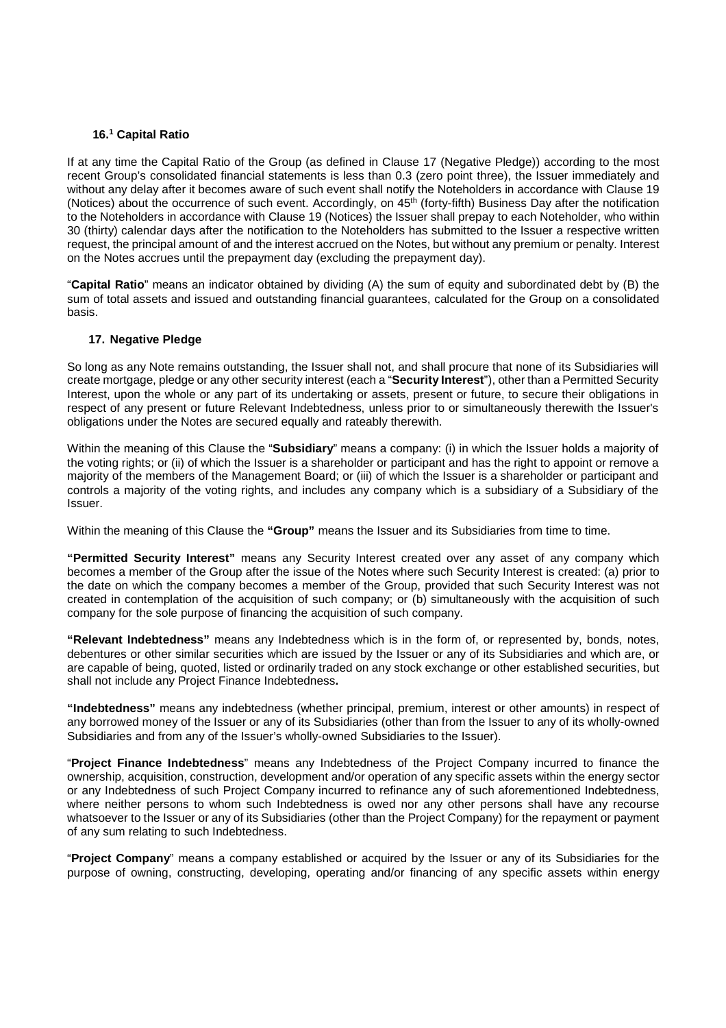## **16.<sup>1</sup> Capital Ratio**

If at any time the Capital Ratio of the Group (as defined in Clause 17 (Negative Pledge)) according to the most recent Group's consolidated financial statements is less than 0.3 (zero point three), the Issuer immediately and without any delay after it becomes aware of such event shall notify the Noteholders in accordance with Clause 19 (Notices) about the occurrence of such event. Accordingly, on 45<sup>th</sup> (forty-fifth) Business Day after the notification to the Noteholders in accordance with Clause 19 (Notices) the Issuer shall prepay to each Noteholder, who within 30 (thirty) calendar days after the notification to the Noteholders has submitted to the Issuer a respective written request, the principal amount of and the interest accrued on the Notes, but without any premium or penalty. Interest on the Notes accrues until the prepayment day (excluding the prepayment day).

"**Capital Ratio**" means an indicator obtained by dividing (A) the sum of equity and subordinated debt by (B) the sum of total assets and issued and outstanding financial guarantees, calculated for the Group on a consolidated basis.

### **17. Negative Pledge**

So long as any Note remains outstanding, the Issuer shall not, and shall procure that none of its Subsidiaries will create mortgage, pledge or any other security interest (each a "**Security Interest**"), other than a Permitted Security Interest, upon the whole or any part of its undertaking or assets, present or future, to secure their obligations in respect of any present or future Relevant Indebtedness, unless prior to or simultaneously therewith the Issuer's obligations under the Notes are secured equally and rateably therewith.

Within the meaning of this Clause the "**Subsidiary**" means a company: (i) in which the Issuer holds a majority of the voting rights; or (ii) of which the Issuer is a shareholder or participant and has the right to appoint or remove a majority of the members of the Management Board; or (iii) of which the Issuer is a shareholder or participant and controls a majority of the voting rights, and includes any company which is a subsidiary of a Subsidiary of the Issuer.

Within the meaning of this Clause the **"Group"** means the Issuer and its Subsidiaries from time to time.

**"Permitted Security Interest"** means any Security Interest created over any asset of any company which becomes a member of the Group after the issue of the Notes where such Security Interest is created: (a) prior to the date on which the company becomes a member of the Group, provided that such Security Interest was not created in contemplation of the acquisition of such company; or (b) simultaneously with the acquisition of such company for the sole purpose of financing the acquisition of such company.

**"Relevant Indebtedness"** means any Indebtedness which is in the form of, or represented by, bonds, notes, debentures or other similar securities which are issued by the Issuer or any of its Subsidiaries and which are, or are capable of being, quoted, listed or ordinarily traded on any stock exchange or other established securities, but shall not include any Project Finance Indebtedness**.**

**"Indebtedness"** means any indebtedness (whether principal, premium, interest or other amounts) in respect of any borrowed money of the Issuer or any of its Subsidiaries (other than from the Issuer to any of its wholly-owned Subsidiaries and from any of the Issuer's wholly-owned Subsidiaries to the Issuer).

"**Project Finance Indebtedness**" means any Indebtedness of the Project Company incurred to finance the ownership, acquisition, construction, development and/or operation of any specific assets within the energy sector or any Indebtedness of such Project Company incurred to refinance any of such aforementioned Indebtedness, where neither persons to whom such Indebtedness is owed nor any other persons shall have any recourse whatsoever to the Issuer or any of its Subsidiaries (other than the Project Company) for the repayment or payment of any sum relating to such Indebtedness.

"**Project Company**" means a company established or acquired by the Issuer or any of its Subsidiaries for the purpose of owning, constructing, developing, operating and/or financing of any specific assets within energy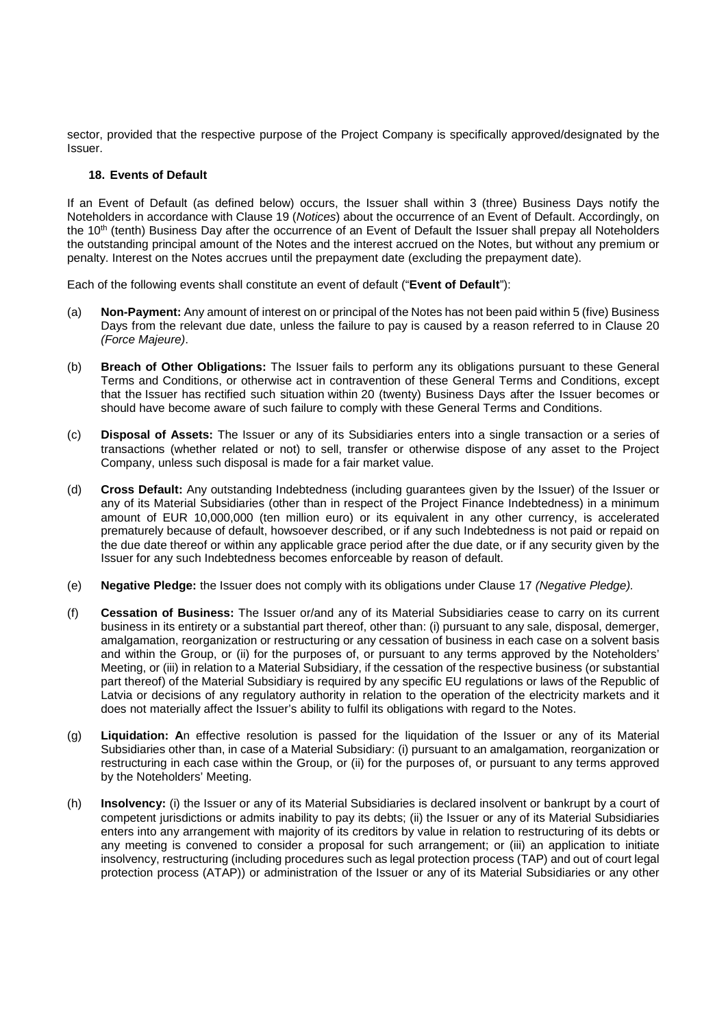sector, provided that the respective purpose of the Project Company is specifically approved/designated by the Issuer.

### **18. Events of Default**

If an Event of Default (as defined below) occurs, the Issuer shall within 3 (three) Business Days notify the Noteholders in accordance with Clause 19 (Notices) about the occurrence of an Event of Default. Accordingly, on the 10<sup>th</sup> (tenth) Business Day after the occurrence of an Event of Default the Issuer shall prepay all Noteholders the outstanding principal amount of the Notes and the interest accrued on the Notes, but without any premium or penalty. Interest on the Notes accrues until the prepayment date (excluding the prepayment date).

Each of the following events shall constitute an event of default ("**Event of Default**"):

- (a) **Non-Payment:** Any amount of interest on or principal of the Notes has not been paid within 5 (five) Business Days from the relevant due date, unless the failure to pay is caused by a reason referred to in Clause 20 (Force Majeure).
- (b) **Breach of Other Obligations:** The Issuer fails to perform any its obligations pursuant to these General Terms and Conditions, or otherwise act in contravention of these General Terms and Conditions, except that the Issuer has rectified such situation within 20 (twenty) Business Days after the Issuer becomes or should have become aware of such failure to comply with these General Terms and Conditions.
- (c) **Disposal of Assets:** The Issuer or any of its Subsidiaries enters into a single transaction or a series of transactions (whether related or not) to sell, transfer or otherwise dispose of any asset to the Project Company, unless such disposal is made for a fair market value.
- (d) **Cross Default:** Any outstanding Indebtedness (including guarantees given by the Issuer) of the Issuer or any of its Material Subsidiaries (other than in respect of the Project Finance Indebtedness) in a minimum amount of EUR 10,000,000 (ten million euro) or its equivalent in any other currency, is accelerated prematurely because of default, howsoever described, or if any such Indebtedness is not paid or repaid on the due date thereof or within any applicable grace period after the due date, or if any security given by the Issuer for any such Indebtedness becomes enforceable by reason of default.
- (e) **Negative Pledge:** the Issuer does not comply with its obligations under Clause 17 (Negative Pledge).
- (f) **Cessation of Business:** The Issuer or/and any of its Material Subsidiaries cease to carry on its current business in its entirety or a substantial part thereof, other than: (i) pursuant to any sale, disposal, demerger, amalgamation, reorganization or restructuring or any cessation of business in each case on a solvent basis and within the Group, or (ii) for the purposes of, or pursuant to any terms approved by the Noteholders' Meeting, or (iii) in relation to a Material Subsidiary, if the cessation of the respective business (or substantial part thereof) of the Material Subsidiary is required by any specific EU regulations or laws of the Republic of Latvia or decisions of any regulatory authority in relation to the operation of the electricity markets and it does not materially affect the Issuer's ability to fulfil its obligations with regard to the Notes.
- (g) **Liquidation: A**n effective resolution is passed for the liquidation of the Issuer or any of its Material Subsidiaries other than, in case of a Material Subsidiary: (i) pursuant to an amalgamation, reorganization or restructuring in each case within the Group, or (ii) for the purposes of, or pursuant to any terms approved by the Noteholders' Meeting.
- (h) **Insolvency:** (i) the Issuer or any of its Material Subsidiaries is declared insolvent or bankrupt by a court of competent jurisdictions or admits inability to pay its debts; (ii) the Issuer or any of its Material Subsidiaries enters into any arrangement with majority of its creditors by value in relation to restructuring of its debts or any meeting is convened to consider a proposal for such arrangement; or (iii) an application to initiate insolvency, restructuring (including procedures such as legal protection process (TAP) and out of court legal protection process (ATAP)) or administration of the Issuer or any of its Material Subsidiaries or any other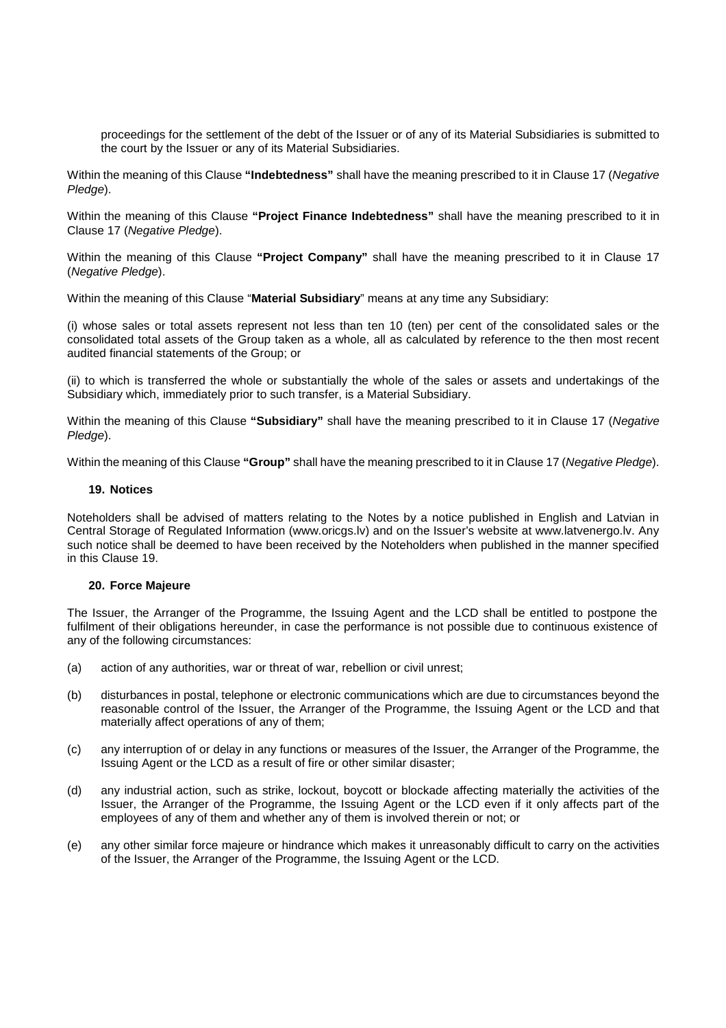proceedings for the settlement of the debt of the Issuer or of any of its Material Subsidiaries is submitted to the court by the Issuer or any of its Material Subsidiaries.

Within the meaning of this Clause **"Indebtedness"** shall have the meaning prescribed to it in Clause 17 (Negative Pledae).

Within the meaning of this Clause **"Project Finance Indebtedness"** shall have the meaning prescribed to it in Clause 17 (Negative Pledge).

Within the meaning of this Clause **"Project Company"** shall have the meaning prescribed to it in Clause 17 (Negative Pledge).

Within the meaning of this Clause "**Material Subsidiary**" means at any time any Subsidiary:

(i) whose sales or total assets represent not less than ten 10 (ten) per cent of the consolidated sales or the consolidated total assets of the Group taken as a whole, all as calculated by reference to the then most recent audited financial statements of the Group; or

(ii) to which is transferred the whole or substantially the whole of the sales or assets and undertakings of the Subsidiary which, immediately prior to such transfer, is a Material Subsidiary.

Within the meaning of this Clause **"Subsidiary"** shall have the meaning prescribed to it in Clause 17 (Negative Pledge).

Within the meaning of this Clause **"Group"** shall have the meaning prescribed to it in Clause 17 (Negative Pledge).

### **19. Notices**

Noteholders shall be advised of matters relating to the Notes by a notice published in English and Latvian in Central Storage of Regulated Information (www.oricgs.lv) and on the Issuer's website at www.latvenergo.lv. Any such notice shall be deemed to have been received by the Noteholders when published in the manner specified in this Clause 19.

## **20. Force Majeure**

The Issuer, the Arranger of the Programme, the Issuing Agent and the LCD shall be entitled to postpone the fulfilment of their obligations hereunder, in case the performance is not possible due to continuous existence of any of the following circumstances:

- (a) action of any authorities, war or threat of war, rebellion or civil unrest;
- (b) disturbances in postal, telephone or electronic communications which are due to circumstances beyond the reasonable control of the Issuer, the Arranger of the Programme, the Issuing Agent or the LCD and that materially affect operations of any of them;
- (c) any interruption of or delay in any functions or measures of the Issuer, the Arranger of the Programme, the Issuing Agent or the LCD as a result of fire or other similar disaster;
- (d) any industrial action, such as strike, lockout, boycott or blockade affecting materially the activities of the Issuer, the Arranger of the Programme, the Issuing Agent or the LCD even if it only affects part of the employees of any of them and whether any of them is involved therein or not; or
- (e) any other similar force majeure or hindrance which makes it unreasonably difficult to carry on the activities of the Issuer, the Arranger of the Programme, the Issuing Agent or the LCD.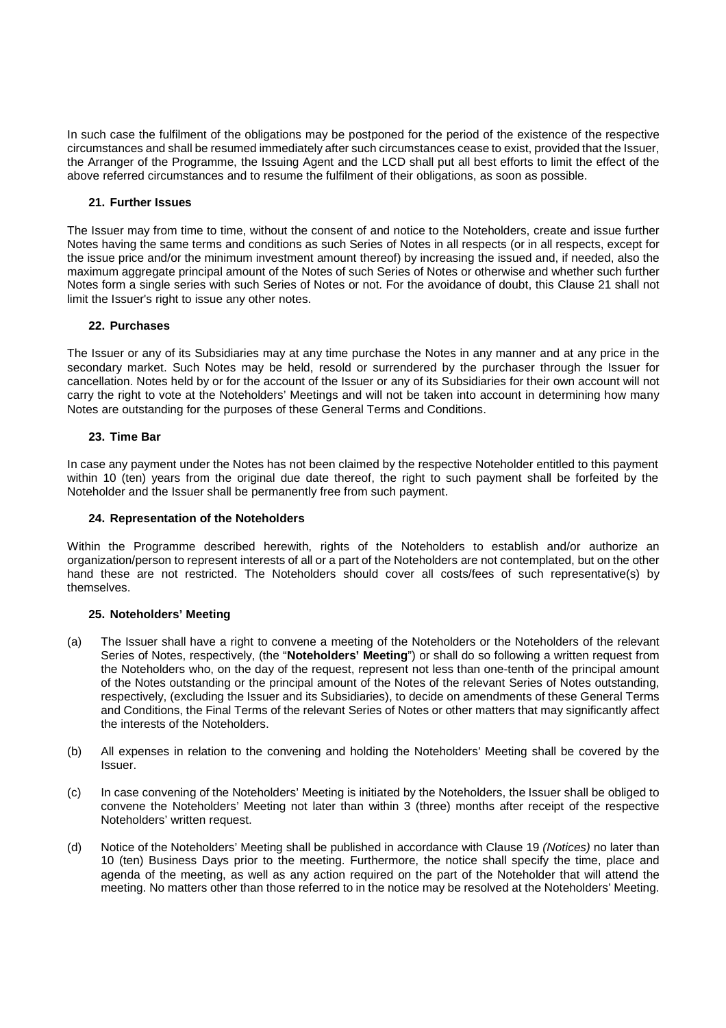In such case the fulfilment of the obligations may be postponed for the period of the existence of the respective circumstances and shall be resumed immediately after such circumstances cease to exist, provided that the Issuer, the Arranger of the Programme, the Issuing Agent and the LCD shall put all best efforts to limit the effect of the above referred circumstances and to resume the fulfilment of their obligations, as soon as possible.

# **21. Further Issues**

The Issuer may from time to time, without the consent of and notice to the Noteholders, create and issue further Notes having the same terms and conditions as such Series of Notes in all respects (or in all respects, except for the issue price and/or the minimum investment amount thereof) by increasing the issued and, if needed, also the maximum aggregate principal amount of the Notes of such Series of Notes or otherwise and whether such further Notes form a single series with such Series of Notes or not. For the avoidance of doubt, this Clause 21 shall not limit the Issuer's right to issue any other notes.

## **22. Purchases**

The Issuer or any of its Subsidiaries may at any time purchase the Notes in any manner and at any price in the secondary market. Such Notes may be held, resold or surrendered by the purchaser through the Issuer for cancellation. Notes held by or for the account of the Issuer or any of its Subsidiaries for their own account will not carry the right to vote at the Noteholders' Meetings and will not be taken into account in determining how many Notes are outstanding for the purposes of these General Terms and Conditions.

# **23. Time Bar**

In case any payment under the Notes has not been claimed by the respective Noteholder entitled to this payment within 10 (ten) years from the original due date thereof, the right to such payment shall be forfeited by the Noteholder and the Issuer shall be permanently free from such payment.

## **24. Representation of the Noteholders**

Within the Programme described herewith, rights of the Noteholders to establish and/or authorize an organization/person to represent interests of all or a part of the Noteholders are not contemplated, but on the other hand these are not restricted. The Noteholders should cover all costs/fees of such representative(s) by themselves.

## **25. Noteholders' Meeting**

- (a) The Issuer shall have a right to convene a meeting of the Noteholders or the Noteholders of the relevant Series of Notes, respectively, (the "**Noteholders' Meeting**") or shall do so following a written request from the Noteholders who, on the day of the request, represent not less than one-tenth of the principal amount of the Notes outstanding or the principal amount of the Notes of the relevant Series of Notes outstanding, respectively, (excluding the Issuer and its Subsidiaries), to decide on amendments of these General Terms and Conditions, the Final Terms of the relevant Series of Notes or other matters that may significantly affect the interests of the Noteholders.
- (b) All expenses in relation to the convening and holding the Noteholders' Meeting shall be covered by the Issuer.
- (c) In case convening of the Noteholders' Meeting is initiated by the Noteholders, the Issuer shall be obliged to convene the Noteholders' Meeting not later than within 3 (three) months after receipt of the respective Noteholders' written request.
- (d) Notice of the Noteholders' Meeting shall be published in accordance with Clause 19 (Notices) no later than 10 (ten) Business Days prior to the meeting. Furthermore, the notice shall specify the time, place and agenda of the meeting, as well as any action required on the part of the Noteholder that will attend the meeting. No matters other than those referred to in the notice may be resolved at the Noteholders' Meeting.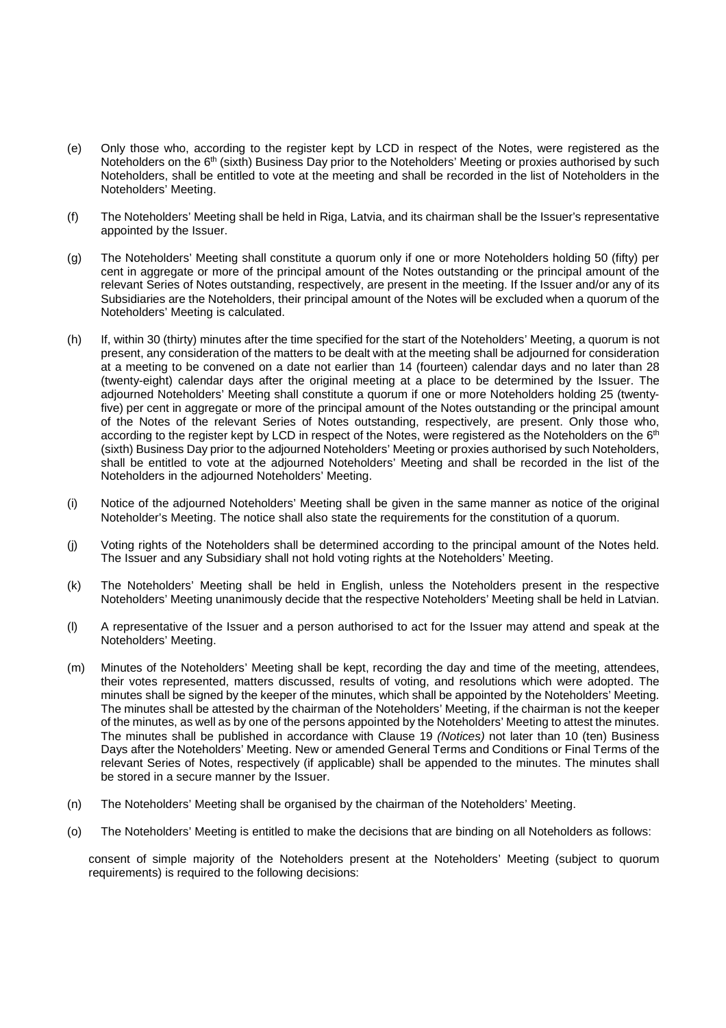- (e) Only those who, according to the register kept by LCD in respect of the Notes, were registered as the Noteholders on the 6<sup>th</sup> (sixth) Business Day prior to the Noteholders' Meeting or proxies authorised by such Noteholders, shall be entitled to vote at the meeting and shall be recorded in the list of Noteholders in the Noteholders' Meeting.
- (f) The Noteholders' Meeting shall be held in Riga, Latvia, and its chairman shall be the Issuer's representative appointed by the Issuer.
- (g) The Noteholders' Meeting shall constitute a quorum only if one or more Noteholders holding 50 (fifty) per cent in aggregate or more of the principal amount of the Notes outstanding or the principal amount of the relevant Series of Notes outstanding, respectively, are present in the meeting. If the Issuer and/or any of its Subsidiaries are the Noteholders, their principal amount of the Notes will be excluded when a quorum of the Noteholders' Meeting is calculated.
- (h) If, within 30 (thirty) minutes after the time specified for the start of the Noteholders' Meeting, a quorum is not present, any consideration of the matters to be dealt with at the meeting shall be adjourned for consideration at a meeting to be convened on a date not earlier than 14 (fourteen) calendar days and no later than 28 (twenty-eight) calendar days after the original meeting at a place to be determined by the Issuer. The adjourned Noteholders' Meeting shall constitute a quorum if one or more Noteholders holding 25 (twentyfive) per cent in aggregate or more of the principal amount of the Notes outstanding or the principal amount of the Notes of the relevant Series of Notes outstanding, respectively, are present. Only those who, according to the register kept by LCD in respect of the Notes, were registered as the Noteholders on the 6<sup>th</sup> (sixth) Business Day prior to the adjourned Noteholders' Meeting or proxies authorised by such Noteholders, shall be entitled to vote at the adjourned Noteholders' Meeting and shall be recorded in the list of the Noteholders in the adjourned Noteholders' Meeting.
- (i) Notice of the adjourned Noteholders' Meeting shall be given in the same manner as notice of the original Noteholder's Meeting. The notice shall also state the requirements for the constitution of a quorum.
- (j) Voting rights of the Noteholders shall be determined according to the principal amount of the Notes held. The Issuer and any Subsidiary shall not hold voting rights at the Noteholders' Meeting.
- (k) The Noteholders' Meeting shall be held in English, unless the Noteholders present in the respective Noteholders' Meeting unanimously decide that the respective Noteholders' Meeting shall be held in Latvian.
- (l) A representative of the Issuer and a person authorised to act for the Issuer may attend and speak at the Noteholders' Meeting.
- (m) Minutes of the Noteholders' Meeting shall be kept, recording the day and time of the meeting, attendees, their votes represented, matters discussed, results of voting, and resolutions which were adopted. The minutes shall be signed by the keeper of the minutes, which shall be appointed by the Noteholders' Meeting. The minutes shall be attested by the chairman of the Noteholders' Meeting, if the chairman is not the keeper of the minutes, as well as by one of the persons appointed by the Noteholders' Meeting to attest the minutes. The minutes shall be published in accordance with Clause 19 (Notices) not later than 10 (ten) Business Days after the Noteholders' Meeting. New or amended General Terms and Conditions or Final Terms of the relevant Series of Notes, respectively (if applicable) shall be appended to the minutes. The minutes shall be stored in a secure manner by the Issuer.
- (n) The Noteholders' Meeting shall be organised by the chairman of the Noteholders' Meeting.
- (o) The Noteholders' Meeting is entitled to make the decisions that are binding on all Noteholders as follows:

consent of simple majority of the Noteholders present at the Noteholders' Meeting (subject to quorum requirements) is required to the following decisions: